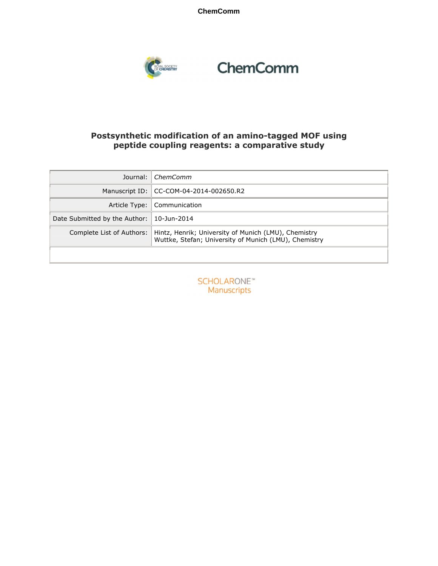**ChemComm**



# ChemComm

#### **Postsynthetic modification of an amino-tagged MOF using peptide coupling reagents: a comparative study**

| Journal:                      | ChemComm                                                                                                      |
|-------------------------------|---------------------------------------------------------------------------------------------------------------|
|                               | Manuscript ID:   CC-COM-04-2014-002650.R2                                                                     |
| Article Type:                 | Communication                                                                                                 |
| Date Submitted by the Author: | 10-Jun-2014                                                                                                   |
| Complete List of Authors:     | Hintz, Henrik; University of Munich (LMU), Chemistry<br>Wuttke, Stefan; University of Munich (LMU), Chemistry |
|                               |                                                                                                               |

**SCHOLARONE**™ Manuscripts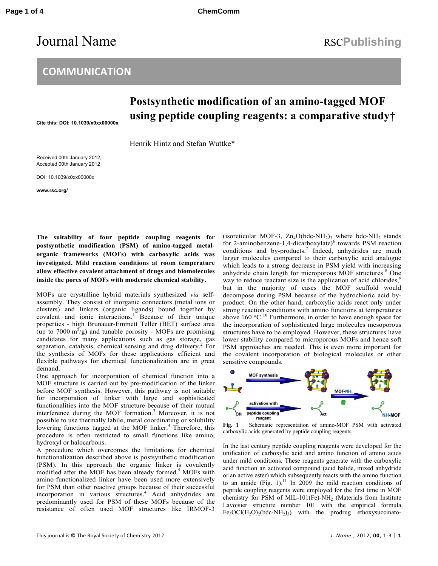## Journal Name RSCPublishing

### **COMMUNICATION**

### **Postsynthetic modification of an amino-tagged MOF using peptide coupling reagents: a comparative study†**

**Cite this: DOI: 10.1039/x0xx00000x** 

Henrik Hintz and Stefan Wuttke\*

Received 00th January 2012, Accepted 00th January 2012

DOI: 10.1039/x0xx00000x

**www.rsc.org/**

**The suitability of four peptide coupling reagents for postsynthetic modification (PSM) of amino-tagged metalorganic frameworks (MOFs) with carboxylic acids was investigated. Mild reaction conditions at room temperature allow effective covalent attachment of drugs and biomolecules inside the pores of MOFs with moderate chemical stability.**

MOFs are crystalline hybrid materials synthesized *via* selfassembly. They consist of inorganic connectors (metal ions or clusters) and linkers (organic ligands) bound together by covalent and ionic interactions.<sup>1</sup> Because of their unique properties - high Brunauer-Emmett Teller (BET) surface area (up to 7000 m<sup>2</sup>/g) and tunable porosity - MOFs are promising candidates for many applications such as gas storage, gas separation, catalysis, chemical sensing and drug delivery.<sup>2</sup>  $2$  For the synthesis of MOFs for these applications efficient and flexible pathways for chemical functionalization are in great demand.

One approach for incorporation of chemical function into a MOF structure is carried out by pre-modification of the linker before MOF synthesis. However, this pathway is not suitable for incorporation of linker with large and sophisticated functionalities into the MOF structure because of their mutual interference during the MOF formation.<sup>3</sup> Moreover, it is not possible to use thermally labile, metal coordinating or solubility lowering functions tagged at the MOF linker.<sup>4</sup> Therefore, this procedure is often restricted to small functions like amino, hydroxyl or halocarbons.

A procedure which overcomes the limitations for chemical functionalization described above is postsynthetic modification (PSM). In this approach the organic linker is covalently modified after the MOF has been already formed.<sup>5</sup> MOFs with amino-functionalized linker have been used more extensively for PSM than other reactive groups because of their successful incorporation in various structures.<sup>4</sup> Acid anhydrides are predominantly used for PSM of these MOFs because of the resistance of often used MOF structures like IRMOF-3

(isoreticular MOF-3,  $Zn_4O(bdc-NH_2)_3$  where bdc-NH<sub>2</sub> stands for 2-aminobenzene-1,4-dicarboxylate)<sup>6</sup> towards PSM reaction conditions and by-products.<sup>7</sup> Indeed, anhydrides are much larger molecules compared to their carboxylic acid analogue which leads to a strong decrease in PSM yield with increasing anhydride chain length for microporous MOF structures.<sup>8</sup> One way to reduce reactant size is the application of acid chlorides,<sup>9</sup> but in the majority of cases the MOF scaffold would decompose during PSM because of the hydrochloric acid byproduct. On the other hand, carboxylic acids react only under strong reaction conditions with amino functions at temperatures above  $160 \text{ °C}$ .<sup>10</sup> Furthermore, in order to have enough space for the incorporation of sophisticated large molecules mesoporous structures have to be employed. However, these structures have lower stability compared to microporous MOFs and hence soft PSM approaches are needed. This is even more important for the covalent incorporation of biological molecules or other sensitive compounds.



**Fig. 1** Schematic representation of amino-MOF PSM with activated carboxylic acids generated by peptide coupling reagents.

In the last century peptide coupling reagents were developed for the unification of carboxylic acid and amino function of amino acids under mild conditions. These reagents generate with the carboxylic acid function an activated compound (acid halide, mixed anhydride or an active ester) which subsequently reacts with the amino function to an amide (Fig. 1).<sup>11</sup> In 2009 the mild reaction conditions of peptide coupling reagents were employed for the first time in MOF chemistry for PSM of MIL-101(Fe)-NH<sub>2</sub> (Materials from Institute Lavoisier structure number 101 with the empirical formula  $Fe<sub>3</sub>OCl(H<sub>2</sub>O)<sub>2</sub>(bdc-NH<sub>2</sub>)<sub>3</sub>$  with the prodrug ethoxysuccinato-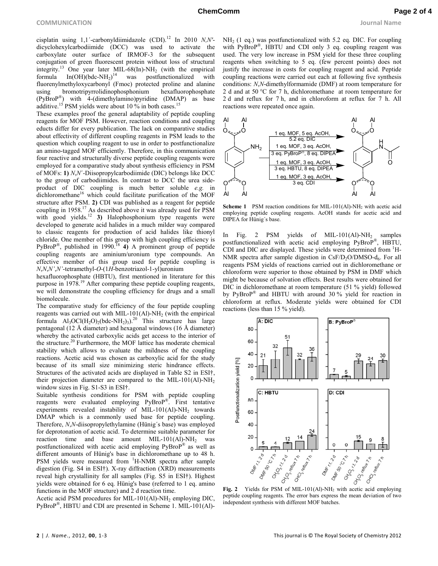cisplatin using  $1,1'$ -carbonyldiimidazole (CDI).<sup>12</sup> In 2010 *N,N'*dicyclohexylcarbodiimide (DCC) was used to activate the carboxylate outer surface of IRMOF-3 for the subsequent conjugation of green fluorescent protein without loss of structural integrity.<sup>13</sup> One year later MIL-68(In)-NH<sub>2</sub> (with the empirical formula  $In(OH)(bdc-NH_2)^{14}$  was postfunctionalized with fluorenylmethyloxycarbonyl (Fmoc) protected proline and alanine using bromotripyrrolidinophosphonium hexafluorophosphate (PyBroP® ) with 4-(dimethylamino)pyridine (DMAP) as base additive.<sup>15</sup> PSM yields were about 10 % in both cases.<sup>1</sup>

These examples proof the general adaptability of peptide coupling reagents for MOF PSM. However, reaction conditions and coupling educts differ for every publication. The lack on comparative studies about effectivity of different coupling reagents in PSM leads to the question which coupling reagent to use in order to postfunctionalize an amino-tagged MOF efficiently. Therefore, in this communication four reactive and structurally diverse peptide coupling reagents were employed for a comparative study about synthesis efficiency in PSM of MOFs: **1)** *N*,*N*´-Diisopropylcarbodiimide (DIC) belongs like DCC to the group of carbodiimides. In contrast to DCC the urea sideproduct of DIC coupling is much better soluble *e.g.* in dichloromethane<sup>16</sup> which could facilitate purification of the MOF structure after PSM. **2)** CDI was published as a reagent for peptide coupling in 1958.<sup>17</sup> As described above it was already used for PSM coupling in 1756. As described above a new means  $\frac{1}{2}$  and  $\frac{1}{2}$  and  $\frac{1}{2}$  and  $\frac{1}{2}$  and  $\frac{1}{2}$  and  $\frac{1}{2}$  and  $\frac{1}{2}$  and  $\frac{1}{2}$  and  $\frac{1}{2}$  and  $\frac{1}{2}$  and  $\frac{1}{2}$  and  $\frac{1}{2}$  and  $\frac{$ developed to generate acid halides in a much milder way compared to classic reagents for production of acid halides like thionyl chloride. One member of this group with high coupling efficiency is PyBroP<sup>®</sup>, published in 1990.<sup>18</sup> **4**) A prominent group of peptide coupling reagents are aminium/uronium type compounds. An effective member of this group used for peptide coupling is *N*,*N*,*N'*,*N'*-tetramethyl-*O-*(1*H*-benzotriazol-1-yl)uronium

hexafluorophosphate (HBTU), first mentioned in literature for this purpose in 1978.<sup>19</sup> After comparing these peptide coupling reagents, we will demonstrate the coupling efficiency for drugs and a small biomolecule.

The comparative study for efficiency of the four peptide coupling reagents was carried out with MIL-101(Al)-NH<sub>2</sub> (with the empirical formula  $\text{Al}_3\text{OCl}(H_2\text{O})_2(\text{bdc-NH}_2)_3$ .<sup>20</sup> This structure has large pentagonal (12 Å diameter) and hexagonal windows (16 Å diameter) whereby the activated carboxylic acids get access to the interior of the structure.<sup>20</sup> Furthermore, the MOF lattice has moderate chemical stability which allows to evaluate the mildness of the coupling reactions. Acetic acid was chosen as carboxylic acid for the study because of its small size minimizing steric hindrance effects. Structures of the activated acids are displayed in Table S2 in ESI†, their projection diameter are compared to the MIL-101(Al)-NH<sub>2</sub> window sizes in Fig. S1-S3 in ESI†.

Suitable synthesis conditions for PSM with peptide coupling reagents were evaluated employing PyBroP®. First tentative experiments revealed instability of MIL-101(Al)- $NH<sub>2</sub>$  towards DMAP which is a commonly used base for peptide coupling. Therefore, *N*,*N*-diisopropylethylamine (Hünig´s base) was employed for deprotonation of acetic acid. To determine suitable parameter for reaction time and base amount MIL-101(Al)- $NH<sub>2</sub>$  was postfunctionalized with acetic acid employing PyBroP ® as well as different amounts of Hünig's base in dichloromethane up to 48 h. PSM yields were measured from <sup>1</sup>H-NMR spectra after sample digestion (Fig. S4 in ESI†). X-ray diffraction (XRD) measurements reveal high crystallinity for all samples (Fig. S5 in ESI†). Highest yields were obtained for 6 eq. Hünig's base (referred to 1 eq. amino functions in the MOF structure) and 2 d reaction time.

Acetic acid PSM procedures for MIL-101(Al)-NH<sub>2</sub> employing DIC, PyBroP® , HBTU and CDI are presented in Scheme 1. MIL-101(Al)-

 $NH<sub>2</sub>$  (1 eq.) was postfunctionalized with 5.2 eq. DIC. For coupling with PyBroP® , HBTU and CDI only 3 eq. coupling reagent was used. The very low increase in PSM yield for these three coupling reagents when switching to 5 eq. (few percent points) does not justify the increase in costs for coupling reagent and acid. Peptide coupling reactions were carried out each at following five synthesis conditions: *N*,*N*-dimethylformamide (DMF) at room temperature for 2 d and at 50 °C for 7 h, dichloromethane at room temperature for 2 d and reflux for 7 h, and in chloroform at reflux for 7 h. All reactions were repeated once again.



**Scheme 1** PSM reaction conditions for MIL-101(Al)-NH<sub>2</sub> with acetic acid employing peptide coupling reagents. AcOH stands for acetic acid and DIPEA for Hünig´s base.

In Fig. 2 PSM yields of MIL-101(Al)-NH<sub>2</sub> samples postfunctionalized with acetic acid employing PyBroP®, HBTU, CDI and DIC are displayed. These yields were determined from  ${}^{1}H-$ NMR spectra after sample digestion in  $CsF/D<sub>2</sub>O/DMSO-d<sub>6</sub>$ . For all reagents PSM yields of reactions carried out in dichloromethane or chloroform were superior to those obtained by PSM in DMF which might be because of solvation effects. Best results were obtained for DIC in dichloromethane at room temperature (51 % yield) followed by PyBroP® and HBTU with around 30 % yield for reaction in chloroform at reflux. Moderate yields were obtained for CDI reactions (less than 15 % yield).



peptide coupling reagents. The error bars express the mean deviation of two independent synthesis with different MOF batches.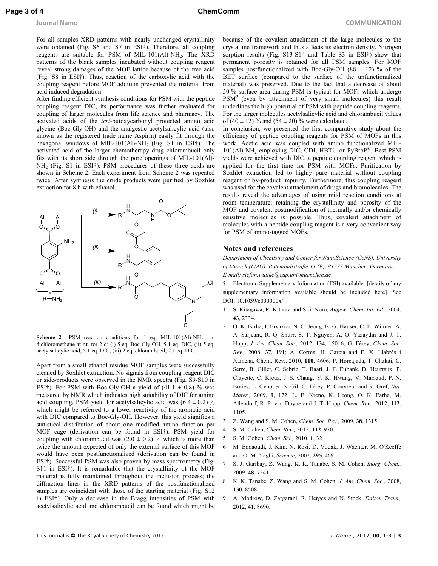For all samples XRD patterns with nearly unchanged crystallinity were obtained (Fig. S6 and S7 in ESI†). Therefore, all coupling reagents are suitable for PSM of MIL-101(Al)-NH<sub>2</sub>. The XRD patterns of the blank samples incubated without coupling reagent reveal strong damages of the MOF lattice because of the free acid (Fig. S8 in ESI†). Thus, reaction of the carboxylic acid with the coupling reagent before MOF addition prevented the material from acid induced degradation.

After finding efficient synthesis conditions for PSM with the peptide coupling reagent DIC, its performance was further evaluated for coupling of larger molecules from life science and pharmacy. The activated acids of the *tert*-butoxycarbonyl protected amino acid glycine (Boc-Gly-OH) and the analgestic acetylsalicylic acid (also known as the registered trade name Aspirin) easily fit through the hexagonal windows of MIL-101(Al)-NH<sub>2</sub> (Fig. S1 in ESI†). The activated acid of the larger chemotherapy drug chlorambucil only fits with its short side through the pore openings of MIL-101(Al)-  $NH<sub>2</sub>$  (Fig. S1 in ESI†). PSM procedures of these three acids are shown in Scheme 2. Each experiment from Scheme 2 was repeated twice. After synthesis the crude products were purified by Soxhlet extraction for 8 h with ethanol.



**Scheme 2** PSM reaction conditions for 1 eq. MIL-101(Al)-NH<sub>2</sub> in dichloromethane at r.t. for 2 d: (i) 5 eq. Boc-Gly-OH, 5.1 eq. DIC, (ii) 5 eq. acetylsalicylic acid, 5.1 eq. DIC, (iii) 2 eq. chlorambucil, 2.1 eq. DIC.

Apart from a small ethanol residue MOF samples were successfully cleaned by Soxhlet extraction. No signals from coupling reagent DIC or side-products were observed in the NMR spectra (Fig. S9-S10 in ESI†). For PSM with Boc-Gly-OH a yield of  $(41.1 \pm 0.8)$  % was measured by NMR which indicates high suitability of DIC for amino acid coupling. PSM yield for acetylsalicylic acid was  $(6.4 \pm 0.2)$ % which might be referred to a lower reactivity of the aromatic acid with DIC compared to Boc-Gly-OH. However, this yield signifies a statistical distribution of about one modified amino function per MOF cage (derivation can be found in ESI†). PSM yield for coupling with chlorambucil was  $(2.0 \pm 0.2)$  % which is more than twice the amount expected of only the external surface of this MOF would have been postfunctionalized (derivation can be found in ESI†). Successful PSM was also proven by mass spectrometry (Fig. S11 in ESI†). It is remarkable that the crystallinity of the MOF material is fully maintained throughout the inclusion process; the diffraction lines in the XRD patterns of the postfunctionalized samples are coincident with those of the starting material (Fig. S12) in ESI†). Only a decrease in the Bragg intensities of PSM with acetylsalicylic acid and chlorambucil can be found which might be because of the covalent attachment of the large molecules to the crystalline framework and thus affects its electron density. Nitrogen sorption results (Fig. S13-S14 and Table S3 in ESI†) show that permanent porosity is retained for all PSM samples. For MOF samples postfunctionalized with Boc-Gly-OH (88  $\pm$  12) % of the BET surface (compared to the surface of the unfunctionalized material) was preserved. Due to the fact that a decrease of about 50 % surface area during PSM is typical for MOFs which undergo  $PSM<sup>2</sup>$  (even by attachment of very small molecules) this result underlines the high potential of PSM with peptide coupling reagents. For the larger molecules acetylsalicylic acid and chlorambucil values of  $(40 \pm 12)$  % and  $(54 \pm 20)$  % were calculated.

In conclusion, we presented the first comparative study about the efficiency of peptide coupling reagents for PSM of MOFs in this work. Acetic acid was coupled with amino functionalized MIL-101(Al)-NH<sup>2</sup> employing DIC, CDI, HBTU or PyBroP® . Best PSM yields were achieved with DIC, a peptide coupling reagent which is applied for the first time for PSM with MOFs. Purification by Soxhlet extraction led to highly pure material without coupling reagent or by-product impurity. Furthermore, this coupling reagent was used for the covalent attachment of drugs and biomolecules. The results reveal the advantages of using mild reaction conditions at room temperature: retaining the crystallinity and porosity of the MOF and covalent postmodification of thermally and/or chemically sensitive molecules is possible. Thus, covalent attachment of molecules with a peptide coupling reagent is a very convenient way for PSM of amino-tagged MOFs.

#### **Notes and references**

*Department of Chemistry and Center for NanoScience (CeNS), University of Munich (LMU), Butenandtstraße 11 (E), 81377 München, Germany. E-mail: stefan.wuttke@cup.uni-muenchen.de* 

† Electronic Supplementary Information (ESI) available: [details of any supplementary information available should be included here]. See DOI: 10.1039/c000000x/

- 1 S. Kitagawa, R. Kitaura and S.-i. Noro, *Angew. Chem. Int. Ed.,* 2004, **43**, 2334.
- 2 O. K. Farha, I. Eryazici, N. C. Jeong, B. G. Hauser, C. E. Wilmer, A. A. Sarjeant, R. Q. Snurr, S. T. Nguyen, A. Ö. Yazaydın and J. T. Hupp, *J. Am. Chem. Soc.,* 2012, **134**, 15016; G. Férey, *Chem. Soc. Rev.,* 2008, **37**, 191; A. Corma, H. García and F. X. Llabrés i Xamena, Chem. Rev., 2010, **110**, 4606; P. Horcajada, T. Chalati, C. Serre, B. Gillet, C. Sebrie, T. Baati, J. F. Eubank, D. Heurtaux, P. Clayette, C. Kreuz, J.-S. Chang, Y. K. Hwang, V. Marsaud, P.-N. Bories, L. Cynober, S. Gil, G. Férey, P. Couvreur and R. Gref, *Nat. Mater.,* 2009, **9**, 172; L. E. Kreno, K. Leong, O. K. Farha, M. Allendorf, R. P. van Duyne and J. T. Hupp, *Chem. Rev.,* 2012, **112**, 1105.
- 3 Z. Wang and S. M. Cohen, *Chem. Soc. Rev.,* 2009, **38**, 1315.
- 4 S. M. Cohen, *Chem. Rev.,* 2012, **112**, 970.
- 5 S. M. Cohen, *Chem. Sci.,* 2010, **1**, 32.
- 6 M. Eddaoudi, J. Kim, N. Rosi, D. Vodak, J. Wachter, M. O'Keeffe and O. M. Yaghi, *Science,* 2002, **295**, 469.
- 7 S. J. Garibay, Z. Wang, K. K. Tanabe, S. M. Cohen, *Inorg. Chem.,* 2009, **48**, 7341.
- 8 K. K. Tanabe, Z. Wang and S. M. Cohen, *J. Am. Chem. Soc.,* 2008, **130**, 8508.
- 9 A. Modrow, D. Zargarani, R. Herges and N. Stock, *Dalton Trans.,* 2012, **41**, 8690.